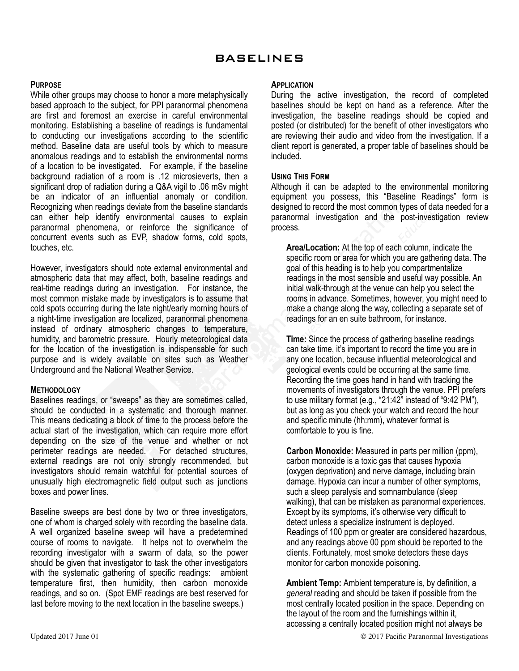## **PURPOSE**

While other groups may choose to honor a more metaphysically based approach to the subject, for PPI paranormal phenomena are first and foremost an exercise in careful environmental monitoring. Establishing a baseline of readings is fundamental to conducting our investigations according to the scientific method. Baseline data are useful tools by which to measure anomalous readings and to establish the environmental norms of a location to be investigated. For example, if the baseline background radiation of a room is .12 microsieverts, then a significant drop of radiation during a Q&A vigil to .06 mSv might be an indicator of an influential anomaly or condition. Recognizing when readings deviate from the baseline standards can either help identify environmental causes to explain paranormal phenomena, or reinforce the significance of concurrent events such as EVP, shadow forms, cold spots, touches, etc.

However, investigators should note external environmental and atmospheric data that may affect, both, baseline readings and real-time readings during an investigation. For instance, the most common mistake made by investigators is to assume that cold spots occurring during the late night/early morning hours of a night-time investigation are localized, paranormal phenomena instead of ordinary atmospheric changes to temperature, humidity, and barometric pressure. Hourly meteorological data for the location of the investigation is indispensable for such purpose and is widely available on sites such as Weather Underground and the National Weather Service.

## **METHODOLOGY**

Baselines readings, or "sweeps" as they are sometimes called, should be conducted in a systematic and thorough manner. This means dedicating a block of time to the process before the actual start of the investigation, which can require more effort depending on the size of the venue and whether or not perimeter readings are needed. For detached structures, external readings are not only strongly recommended, but investigators should remain watchful for potential sources of unusually high electromagnetic field output such as junctions boxes and power lines.

Baseline sweeps are best done by two or three investigators, one of whom is charged solely with recording the baseline data. A well organized baseline sweep will have a predetermined course of rooms to navigate. It helps not to overwhelm the recording investigator with a swarm of data, so the power should be given that investigator to task the other investigators with the systematic gathering of specific readings: ambient temperature first, then humidity, then carbon monoxide readings, and so on. (Spot EMF readings are best reserved for last before moving to the next location in the baseline sweeps.)

## **APPLICATION**

During the active investigation, the record of completed baselines should be kept on hand as a reference. After the investigation, the baseline readings should be copied and posted (or distributed) for the benefit of other investigators who are reviewing their audio and video from the investigation. If a client report is generated, a proper table of baselines should be included.

## **USING THIS FORM**

Although it can be adapted to the environmental monitoring equipment you possess, this "Baseline Readings" form is designed to record the most common types of data needed for a paranormal investigation and the post-investigation review process.

**Area/Location:** At the top of each column, indicate the specific room or area for which you are gathering data. The goal of this heading is to help you compartmentalize readings in the most sensible and useful way possible. An initial walk-through at the venue can help you select the rooms in advance. Sometimes, however, you might need to make a change along the way, collecting a separate set of readings for an en suite bathroom, for instance.

**Time:** Since the process of gathering baseline readings can take time, it's important to record the time you are in any one location, because influential meteorological and geological events could be occurring at the same time. Recording the time goes hand in hand with tracking the movements of investigators through the venue. PPI prefers to use military format (e.g., "21:42" instead of "9:42 PM"), but as long as you check your watch and record the hour and specific minute (hh:mm), whatever format is comfortable to you is fine.

**Carbon Monoxide:** Measured in parts per million (ppm), carbon monoxide is a toxic gas that causes hypoxia (oxygen deprivation) and nerve damage, including brain damage. Hypoxia can incur a number of other symptoms, such a sleep paralysis and somnambulance (sleep walking), that can be mistaken as paranormal experiences. Except by its symptoms, it's otherwise very difficult to detect unless a specialize instrument is deployed. Readings of 100 ppm or greater are considered hazardous, and any readings above 00 ppm should be reported to the clients. Fortunately, most smoke detectors these days monitor for carbon monoxide poisoning.

**Ambient Temp:** Ambient temperature is, by definition, a *general* reading and should be taken if possible from the most centrally located position in the space. Depending on the layout of the room and the furnishings within it, accessing a centrally located position might not always be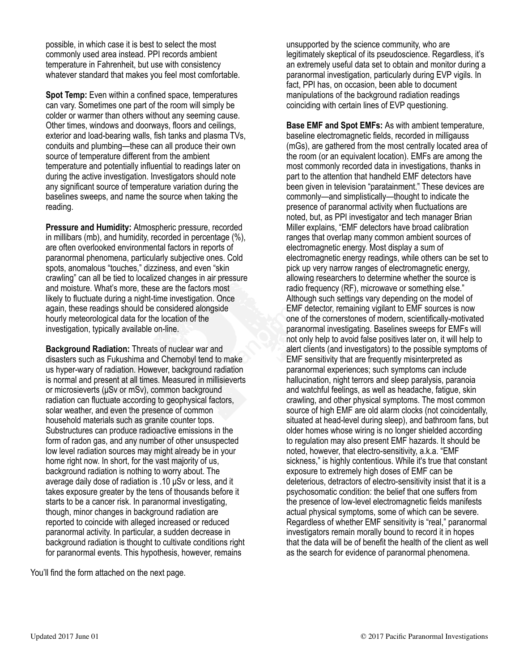possible, in which case it is best to select the most commonly used area instead. PPI records ambient temperature in Fahrenheit, but use with consistency whatever standard that makes you feel most comfortable.

**Spot Temp:** Even within a confined space, temperatures can vary. Sometimes one part of the room will simply be colder or warmer than others without any seeming cause. Other times, windows and doorways, floors and ceilings, exterior and load-bearing walls, fish tanks and plasma TVs, conduits and plumbing—these can all produce their own source of temperature different from the ambient temperature and potentially influential to readings later on during the active investigation. Investigators should note any significant source of temperature variation during the baselines sweeps, and name the source when taking the reading.

**Pressure and Humidity:** Atmospheric pressure, recorded in millibars (mb), and humidity, recorded in percentage (%), are often overlooked environmental factors in reports of paranormal phenomena, particularly subjective ones. Cold spots, anomalous "touches," dizziness, and even "skin crawling" can all be tied to localized changes in air pressure and moisture. What's more, these are the factors most likely to fluctuate during a night-time investigation. Once again, these readings should be considered alongside hourly meteorological data for the location of the investigation, typically available on-line.

**Background Radiation:** Threats of nuclear war and disasters such as Fukushima and Chernobyl tend to make us hyper-wary of radiation. However, background radiation is normal and present at all times. Measured in millisieverts or microsieverts (µSv or mSv), common background radiation can fluctuate according to geophysical factors, solar weather, and even the presence of common household materials such as granite counter tops. Substructures can produce radioactive emissions in the form of radon gas, and any number of other unsuspected low level radiation sources may might already be in your home right now. In short, for the vast majority of us, background radiation is nothing to worry about. The average daily dose of radiation is .10 µSv or less, and it takes exposure greater by the tens of thousands before it starts to be a cancer risk. In paranormal investigating, though, minor changes in background radiation are reported to coincide with alleged increased or reduced paranormal activity. In particular, a sudden decrease in background radiation is thought to cultivate conditions right for paranormal events. This hypothesis, however, remains

You'll find the form attached on the next page.

unsupported by the science community, who are legitimately skeptical of its pseudoscience. Regardless, it's an extremely useful data set to obtain and monitor during a paranormal investigation, particularly during EVP vigils. In fact, PPI has, on occasion, been able to document manipulations of the background radiation readings coinciding with certain lines of EVP questioning.

**Base EMF and Spot EMFs:** As with ambient temperature, baseline electromagnetic fields, recorded in milligauss (mGs), are gathered from the most centrally located area of the room (or an equivalent location). EMFs are among the most commonly recorded data in investigations, thanks in part to the attention that handheld EMF detectors have been given in television "paratainment." These devices are commonly—and simplistically—thought to indicate the presence of paranormal activity when fluctuations are noted, but, as PPI investigator and tech manager Brian Miller explains, "EMF detectors have broad calibration ranges that overlap many common ambient sources of electromagnetic energy. Most display a sum of electromagnetic energy readings, while others can be set to pick up very narrow ranges of electromagnetic energy, allowing researchers to determine whether the source is radio frequency (RF), microwave or something else." Although such settings vary depending on the model of EMF detector, remaining vigilant to EMF sources is now one of the cornerstones of modern, scientifically-motivated paranormal investigating. Baselines sweeps for EMFs will not only help to avoid false positives later on, it will help to alert clients (and investigators) to the possible symptoms of EMF sensitivity that are frequently misinterpreted as paranormal experiences; such symptoms can include hallucination, night terrors and sleep paralysis, paranoia and watchful feelings, as well as headache, fatigue, skin crawling, and other physical symptoms. The most common source of high EMF are old alarm clocks (not coincidentally, situated at head-level during sleep), and bathroom fans, but older homes whose wiring is no longer shielded according to regulation may also present EMF hazards. It should be noted, however, that electro-sensitivity, a.k.a. "EMF sickness," is highly contentious. While it's true that constant exposure to extremely high doses of EMF can be deleterious, detractors of electro-sensitivity insist that it is a psychosomatic condition: the belief that one suffers from the presence of low-level electromagnetic fields manifests actual physical symptoms, some of which can be severe. Regardless of whether EMF sensitivity is "real," paranormal investigators remain morally bound to record it in hopes that the data will be of benefit the health of the client as well as the search for evidence of paranormal phenomena.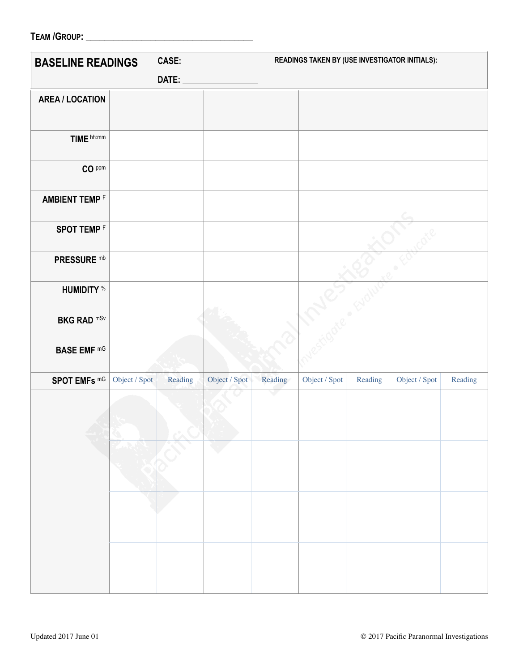| <b>TEAM /GROUP:</b> |
|---------------------|
|---------------------|

| <b>BASELINE READINGS</b> |               |         |               |              | READINGS TAKEN BY (USE INVESTIGATOR INITIALS): |         |               |         |  |
|--------------------------|---------------|---------|---------------|--------------|------------------------------------------------|---------|---------------|---------|--|
|                          |               |         |               |              |                                                |         |               |         |  |
| <b>AREA / LOCATION</b>   |               |         |               |              |                                                |         |               |         |  |
|                          |               |         |               |              |                                                |         |               |         |  |
| TIME hh:mm               |               |         |               |              |                                                |         |               |         |  |
| CO PPm                   |               |         |               |              |                                                |         |               |         |  |
| <b>AMBIENT TEMP F</b>    |               |         |               |              |                                                |         |               |         |  |
| <b>SPOT TEMPF</b>        |               |         |               |              |                                                |         |               |         |  |
| <b>PRESSURE mb</b>       |               |         |               |              |                                                |         |               |         |  |
| <b>HUMIDITY</b> %        |               |         |               |              |                                                |         |               |         |  |
| <b>BKG RAD mSv</b>       |               |         |               |              |                                                |         |               |         |  |
| <b>BASE EMF mG</b>       |               |         |               |              |                                                |         |               |         |  |
| SPOT EMFs mG             | Object / Spot | Reading | Object / Spot | Reading<br>v | Object / Spot                                  | Reading | Object / Spot | Reading |  |
|                          |               | ╲       |               |              |                                                |         |               |         |  |
|                          |               |         |               |              |                                                |         |               |         |  |